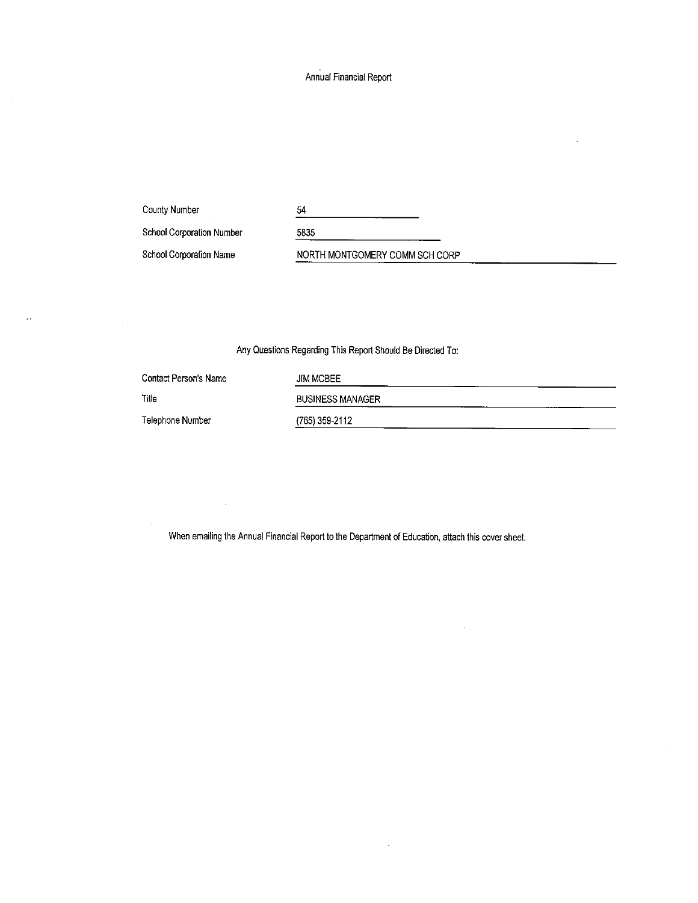Annual Financial Report

County Number

 $\mathbf{A}$  is

 $\bar{\gamma}$ 

| County Number             | 54                             |
|---------------------------|--------------------------------|
| School Corporation Number | 5835                           |
| School Corporation Name   | NORTH MONTGOMERY COMM SCH CORP |

Any Questions Regarding This Report Should Be Directed To:

| Contact Person's Name | <b>JIM MCBEE</b>        |
|-----------------------|-------------------------|
| Title                 | <b>BUSINESS MANAGER</b> |
| Telephone Number      | (765) 359-2112          |

 $\bar{z}$ 

When emailing the Annual Financial Report to the Department of Education, attach this cover sheet.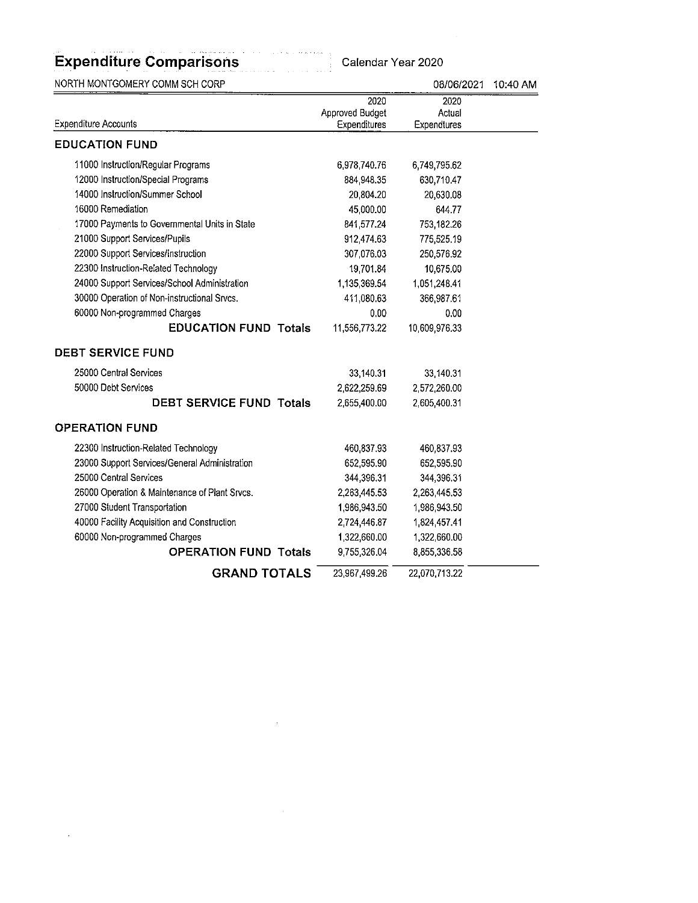| NORTH MONTGOMERY COMM SCH CORP                |                         | 08/06/2021     | 10:40 AM |
|-----------------------------------------------|-------------------------|----------------|----------|
|                                               | 2020<br>Approved Budget | 2020<br>Actual |          |
| <b>Expenditure Accounts</b>                   | Expenditures            | Expendtures    |          |
| <b>EDUCATION FUND</b>                         |                         |                |          |
| 11000 Instruction/Regular Programs            | 6,978,740.76            | 6,749,795.62   |          |
| 12000 Instruction/Special Programs            | 884 948.35              | 630,710.47     |          |
| 14000 Instruction/Summer School               | 20,804.20               | 20,630.08      |          |
| 16000 Remediation                             | 45,000.00               | 644.77         |          |
| 17000 Payments to Governmental Units in State | 841 577.24              | 753,182.26     |          |
| 21000 Support Services/Pupils                 | 912,474.63              | 775,525.19     |          |
| 22000 Support Services/Instruction            | 307 076.03              | 250,576.92     |          |
| 22300 Instruction-Related Technology          | 19.701.84               | 10,675.00      |          |
| 24000 Support Services/School Administration  | 1,135,369.54            | 1,051,248.41   |          |
| 30000 Operation of Non-instructional Srvcs.   | 411,080.63              | 366,987.61     |          |
| 60000 Non-programmed Charges                  | 0.00                    | 0.00           |          |
| <b>EDUCATION FUND Totals</b>                  | 11,556,773.22           | 10,609,976.33  |          |
| <b>DEBT SERVICE FUND</b>                      |                         |                |          |
| 25000 Central Services                        | 33,140.31               | 33,140.31      |          |
| 50000 Debt Services                           | 2,622,259.69            | 2,572,260.00   |          |
| <b>DEBT SERVICE FUND Totals</b>               | 2,655,400.00            | 2,605,400.31   |          |
| <b>OPERATION FUND</b>                         |                         |                |          |
| 22300 Instruction-Related Technology          | 460 837.93              | 460,837.93     |          |
| 23000 Support Services/General Administration | 652,595.90              | 652,595.90     |          |
| 25000 Central Services                        | 344,396.31              | 344,396.31     |          |
| 26000 Operation & Maintenance of Plant Srvcs. | 2,263,445.53            | 2,263,445.53   |          |
| 27000 Student Transportation                  | 1,986,943.50            | 1,986,943.50   |          |
| 40000 Facility Acquisition and Construction   | 2,724,446.87            | 1,824,457.41   |          |
| 60000 Non-programmed Charges                  | 1,322,660.00            | 1,322,660.00   |          |
| <b>OPERATION FUND Totals</b>                  | 9,755,326.04            | 8,855,336.58   |          |
| <b>GRAND TOTALS</b>                           | 23,967 499.26           | 22,070,713.22  |          |

 $\label{eq:2.1} \mathcal{L}(\mathcal{L}^{\text{max}}_{\mathcal{L}}(\mathcal{L}^{\text{max}}_{\mathcal{L}})) \leq \mathcal{L}(\mathcal{L}^{\text{max}}_{\mathcal{L}}(\mathcal{L}^{\text{max}}_{\mathcal{L}}))$ 

 $\label{eq:2.1} \frac{1}{\sqrt{2}}\left(\frac{1}{\sqrt{2}}\right)^{2} \left(\frac{1}{\sqrt{2}}\right)^{2} \left(\frac{1}{\sqrt{2}}\right)^{2} \left(\frac{1}{\sqrt{2}}\right)^{2} \left(\frac{1}{\sqrt{2}}\right)^{2} \left(\frac{1}{\sqrt{2}}\right)^{2} \left(\frac{1}{\sqrt{2}}\right)^{2} \left(\frac{1}{\sqrt{2}}\right)^{2} \left(\frac{1}{\sqrt{2}}\right)^{2} \left(\frac{1}{\sqrt{2}}\right)^{2} \left(\frac{1}{\sqrt{2}}\right)^{2} \left(\$ 

 $\mathcal{L}(\mathcal{A})$  and  $\mathcal{L}(\mathcal{A})$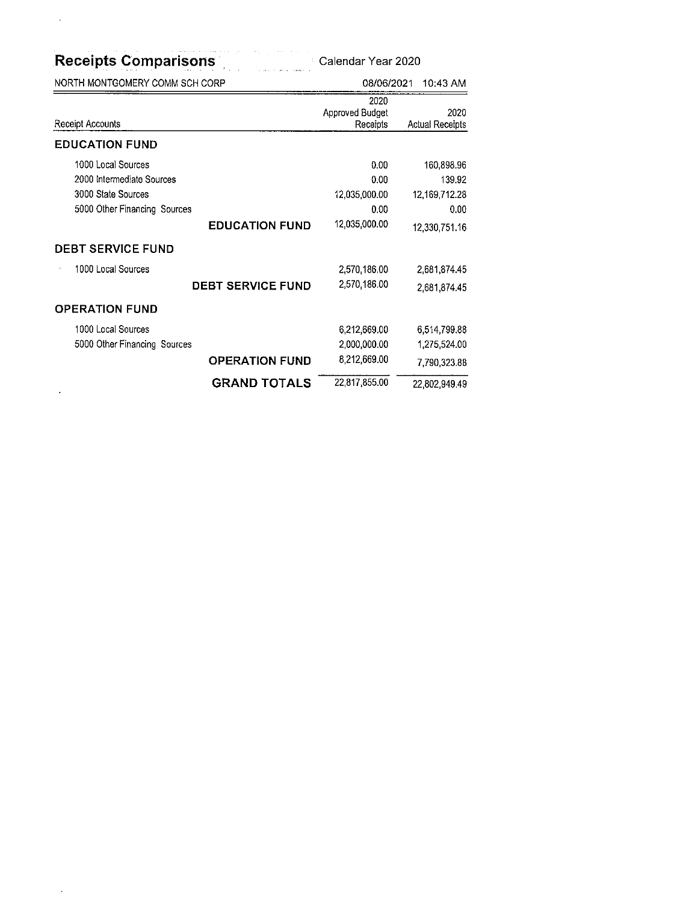| <b>Receipts Comparisons</b>                                                                                                       |                          | Calendar Year 2020                                     |                                                                |
|-----------------------------------------------------------------------------------------------------------------------------------|--------------------------|--------------------------------------------------------|----------------------------------------------------------------|
| NORTH MONTGOMERY COMM SCH CORP                                                                                                    |                          | 08/06/2021                                             | 10:43 AM                                                       |
| Receipt Accounts                                                                                                                  |                          | 2020<br>Approved Budget<br>Receipts                    | 2020<br><b>Actual Receipts</b>                                 |
| <b>EDUCATION FUND</b>                                                                                                             |                          |                                                        |                                                                |
| 1000 Local Sources<br>2000 Intermediate Sources<br>3000 State Sources<br>5000 Other Financing Sources<br><b>DEBT SERVICE FUND</b> | <b>EDUCATION FUND</b>    | 0.00<br>0.00<br>12,035,000.00<br>0.00<br>12,035,000.00 | 160,898,96<br>139.92<br>12,169,712.28<br>0.00<br>12,330,751.16 |
| 1000 Local Sources                                                                                                                |                          |                                                        |                                                                |
|                                                                                                                                   | <b>DEBT SERVICE FUND</b> | 2,570,186.00<br>2,570,186.00                           | 2,681,874.45<br>2,681,874.45                                   |
| <b>OPERATION FUND</b>                                                                                                             |                          |                                                        |                                                                |
| 1000 Local Sources                                                                                                                |                          | 6,212,669.00                                           | 6,514,799.88                                                   |
| 5000 Other Financing Sources                                                                                                      |                          | 2,000,000.00                                           | 1,275,524.00                                                   |
|                                                                                                                                   | <b>OPERATION FUND</b>    | 8,212,669.00                                           | 7,790,323.88                                                   |
|                                                                                                                                   | <b>GRAND TOTALS</b>      | 22,817,855.00                                          | 22,802,949.49                                                  |

 $\mathcal{L}(\mathcal{A})$  and  $\mathcal{L}(\mathcal{A})$ 

 $\hat{\mathcal{A}}$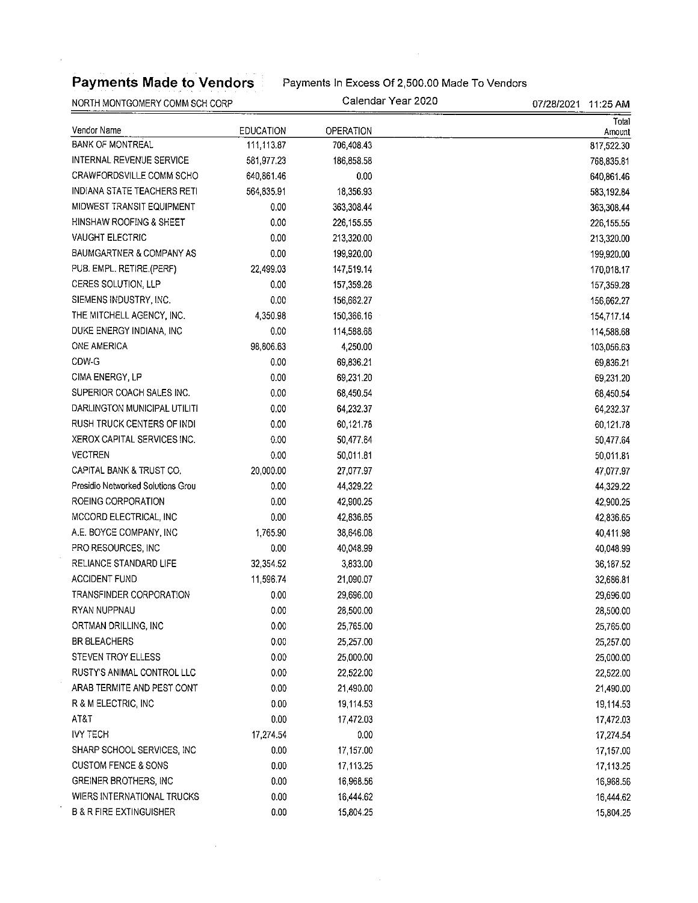# Payments Made to Vendors Payments In Excess Of 2,500.00 Made To Vendors

 $\mathcal{A}^{\mathcal{A}}$ 

NORTH MONTGOMERY COMM SCH CORP CORP CORP CALENDARY CALENDARY CALENDARY COMMUNICATION CALCOR

 $\bar{u}$ 

 $\hat{\mathcal{A}}$ 

| <b>INURTH WUNTGUMERY CUMM SUR CORP</b> |            | JUNIUCI ILU LULU | 07/20/2021<br>11.Z5 AM |
|----------------------------------------|------------|------------------|------------------------|
| Vendor Name                            | EDUCATION  | OPERATION        | Total<br>Amount        |
| <b>BANK OF MONTREAL</b>                | 111,113.87 | 706,408.43       | 817,522.30             |
| INTERNAL REVENUE SERVICE               | 581,977.23 | 186,858.58       | 768,835.81             |
| CRAWFORDSVILLE COMM SCHO               | 640,861.46 | 0.00             | 640,861.46             |
| <b>INDIANA STATE TEACHERS RETI</b>     | 564,835.91 | 18,356.93        | 583 192.84             |
| MIDWEST TRANSIT EQUIPMENT              | 0.00       | 363,308.44       | 363,308.44             |
| HINSHAW ROOFING & SHEET                | 0.00       | 226,155.55       | 226 155.55             |
| <b>VAUGHT ELECTRIC</b>                 | 0.00       | 213,320.00       | 213,320.00             |
| BAUMGARTNER & COMPANY AS               | 0.00       | 199,920.00       | 199,920.00             |
| PUB. EMPL. RETIRE.(PERF)               | 22,499.03  | 147,519.14       | 170,018.17             |
| CERES SOLUTION, LLP                    | 0.00       | 157,359.28       | 157 359.28             |
| SIEMENS INDUSTRY, INC.                 | 0.00       | 156,662.27       | 156,662.27             |
| THE MITCHELL AGENCY, INC.              | 4,350.98   | 150,366.16       | 154,717.14             |
| DUKE ENERGY INDIANA, INC.              | 0.00       | 114,588.68       | 114,588.68             |
| <b>ONE AMERICA</b>                     | 98,806.63  | 4,250.00         | 103,056.63             |
| CDW-G                                  | 0.00       | 69,836.21        | 69,836.21              |
| CIMA ENERGY, LP                        | 0.00       | 69,231.20        | 69,231.20              |
| SUPERIOR COACH SALES INC.              | 0.00       | 68,450.54        | 68,450.54              |
| DARLINGTON MUNICIPAL UTILITI           | 0.00       | 64,232.37        | 64,232.37              |
| RUSH TRUCK CENTERS OF INDI             | 0.00       | 60,121.78        | 60,121.78              |
| XEROX CAPITAL SERVICES INC.            | 0.00       | 50,477.64        | 50,477.64              |
| <b>VECTREN</b>                         | 0.00       | 50,011.81        | 50.011.81              |
| CAPITAL BANK & TRUST CO.               | 20,000.00  | 27,077.97        | 47,077.97              |
| Presidio Networked Solutions Grou      | 0.00       | 44,329.22        | 44.329.22              |
| ROEING CORPORATION                     | 0.00       | 42,900.25        | 42,900.25              |
| MCCORD ELECTRICAL, INC                 | 0.00       | 42,836.65        | 42.836.65              |
| A.E. BOYCE COMPANY, INC                | 1,765.90   | 38,646.08        | 40,411.98              |
| PRO RESOURCES, INC.                    | 0.00       | 40,048.99        | 40,048.99              |
| RELIANCE STANDARD LIFE                 | 32,354.52  | 3,833.00         | 36,187.52              |
| ACCIDENT FUND                          | 11,596.74  | 21,090.07        | 32,686.81              |
| TRANSFINDER CORPORATION                | 0.00       | 29,696.00        | 29,696.00              |
| RYAN NUPPNAU                           | 0.00       | 28,500.00        | 28,500.00              |
| ORTMAN DRILLING, INC                   | 0.00       | 25,765.00        | 25,765.00              |
| BR BLEACHERS                           | 0.00       | 25,257.00        | 25,257.00              |
| STEVEN TROY ELLESS                     | 0.00       | 25,000.00        | 25,000.00              |
| RUSTY'S ANIMAL CONTROL LLC             | 0.00       | 22,522.00        | 22,522.00              |
| ARAB TERMITE AND PEST CONT             | 0.00       | 21,490.00        | 21,490.00              |
| R & M ELECTRIC, INC                    | 0.00       | 19,114.53        | 19 114.53              |
| AT&T                                   | 0.00       | 17,472.03        | 17,472.03              |
| <b>IVY TECH</b>                        | 17,274.54  | 0.00             | 17.274.54              |
| SHARP SCHOOL SERVICES, INC             | 0.00       | 17,157.00        | 17,157.00              |
| <b>CUSTOM FENCE &amp; SONS</b>         | 0.00       | 17,113.25        | 17,113.25              |
| <b>GREINER BROTHERS, INC.</b>          | 0.00       | 16,968.56        | 16,968.56              |
| WIERS INTERNATIONAL TRUCKS             | 0.00       | 16,444.62        | 16,444.62              |
| <b>B &amp; R FIRE EXTINGUISHER</b>     | 0.00       | 15,804.25        | 15,804.25              |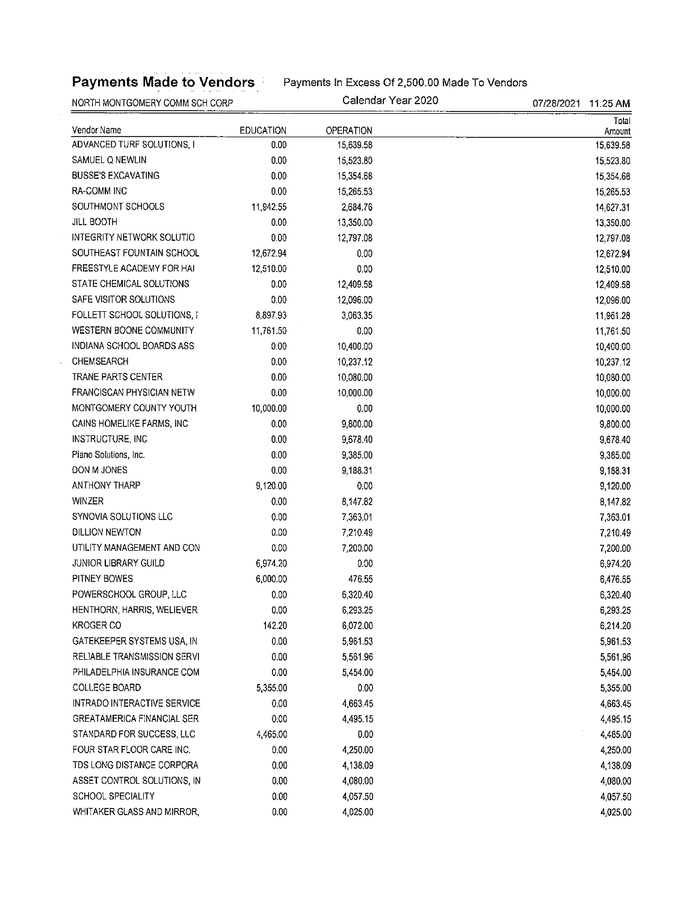Payments Made to Vendors **Payments In Excess Of 2,500.00 Made To Vendors** 

NORTH MONTGOMERY COMM SCH CORP CALENDARY CALENDARY CALENDARY COMM SCH CORP CALENDARY COMM SCH CORP Total Vendor Name EDUCATION OPERATION Amount ADVANCED TURF SOLUTIONS, I COME 2000 15,639.58 15,639.58 15,639.58 15,639.58 SAMUEL Q NEWLIN 15,523.80 15,523.80 15,523.80 15,523.80 BUSSE'S EXCAVATING 15,354.68 15,354.68 15,354.68 RA-COMM INC 0.00 15.265.53 15.265.53 SOUTHMONT SCHOOLS 11,942.55 2,684.76 2,684.76 14,627.31 JILL BOOTH 0.00 13,350.00 13,350.00 INTEGRITY NETWORK SOLUTIO 0.00 12,797.08 12,797.08 SOUTHEAST FOUNTAIN SCHOOL 12,672.94 0.00 12,672.94 12,672.94 FREESTYLE ACADEMY FOR HAI 12,510.00 0.00 0.00 0.00 12,510.00 12,510.00 STATE CHEMICAL SOLUTIONS 0.00 12,409.58 12,409 0.00 12,409.58 SAFE VISITOR SOLUTIONS  $0.00$  12,096.00 12,096.00 12,096.00 12,096.00 FOLLETT SCHOOL SOLUTIONS, I 8,897.93 3,063.35 3,063.35 3,063.28 WESTERN BOONE COMMUNITY 11,761.50 0.00 0.00 11,761.50 11,761.50 INDIANA SCHOOL BOARDS ASS 0.00 10,400.00 10,400.00 CHEMSEARCH 0.00 10,237.12 10,237.12 TRANE PARTS CENTER 0.00 0.00 10,080.00 10,080 00 10,080.00 10,080.00 FRANCISCAN PHYSICIAN NETW 0.00 10,000.00 10,000.00 MONTGOMERY COUNTY YOUTH 10,000.00 0.00 10,000.00 CAINS HOMELIKE FARMS, INC 0.00 9,800.00 9,800.00 INSTRUCTURE, INC 0.00 9,678.40 9,678.40 Piano Solutions, Inc. 6. 0.00 9,385.00 9,385.00 9,385.00 9,385.00 9,385.00 9,385.00 DON M JONES 0.00 9,188.31 9,188.31 ANTHONY THARP 8,120.00 9,120.00 0.00 0.00 9,120.00 9,120.00 WINZER 0.00 8,147.82 8,147.82 SYNOVIA SOLUTIONS LLC  $0.00$  7,363.01 7,363.01 7,363.01 DILLION NEWTON 0.00 7,210.49 7,210.49 UTILITY MANAGEMENT AND CON 0.00 7,200.00 7,200.00 7,200 7,200 7,200 7,200 7,200 7,200 7,200 7,200 7,200 7,200 7,200 7,200 7,200 7,200 7,200 7,200 7,200 7,200 7,200 7,200 7,200 7,200 7,200 7,200 7,200 7,200 7,200 7,200 7,20 JUNIOR LIBRARY GUILD 6,974.20 0.00 6,974.20 PITNEY BOWES 6,000.00 476.55 6,476.55 POWERSCHOOL GROUP, LLC  $0.00$  6,320.40 6,320.40 6,320.40 HENTHORN, HARRIS, WELIEVER 0.00 6,293.25 6,293.25 KROGER CO 142.20 6,072.00 6,214.20 GATEKEEPER SYSTEMS USA, IN  $1.5961.53$   $5.961.53$   $5.961.53$   $5.961.53$ RELIABLE TRANSMISSION SERVI 0.00 5,561.96 5,561.96 PHILADELPHIA INSURANCE COM  $0.00$  5,454.00 5,454.00 5,454.00 COLLEGE BOARD 6,355.00 5,355.00 0.00 0.00 5,355.00 5,355.00 5,355.00 5,355.00 5,355.00 5,355.00 5,355.00 5,355.00 5,355.00 5,355.00 5,355.00 5,355.00 5,355.00 5,355.00 5,355.00 5,355.00 5,355.00 5,355.00 5,355.00 5,355.00 INTRADO INTERACTIVE SERVICE  $0.00$  4,663.45 4,663.45 4,663.45 GREATAMERICA FINANCIAL SER  $0.00$   $4,495.15$   $4,495.15$   $4,495.15$ STANDARD FOR SUCCESS, LLC  $4,465.00$  0.00 0.00 4,465.00 4,465.00 FOUR STAR FLOOR CARE INC. 0.00 4,250.00 4,250.00 TDS LONG DISTANCE CORPORA  $0.00$  4,138.09 4,138.09 4,138.09 ASSET CONTROL SOLUTIONS, IN 0.00 4,080.00 4,080.00 SCHOOL SPECIALITY 0.00 4,057.50 4,057.50 4,057.50

WHITAKER GLASS AND MIRROR,  $\begin{array}{ccc} 0.00 & 4.025.00 \\ 4.025.00 & 4.025.00 \end{array}$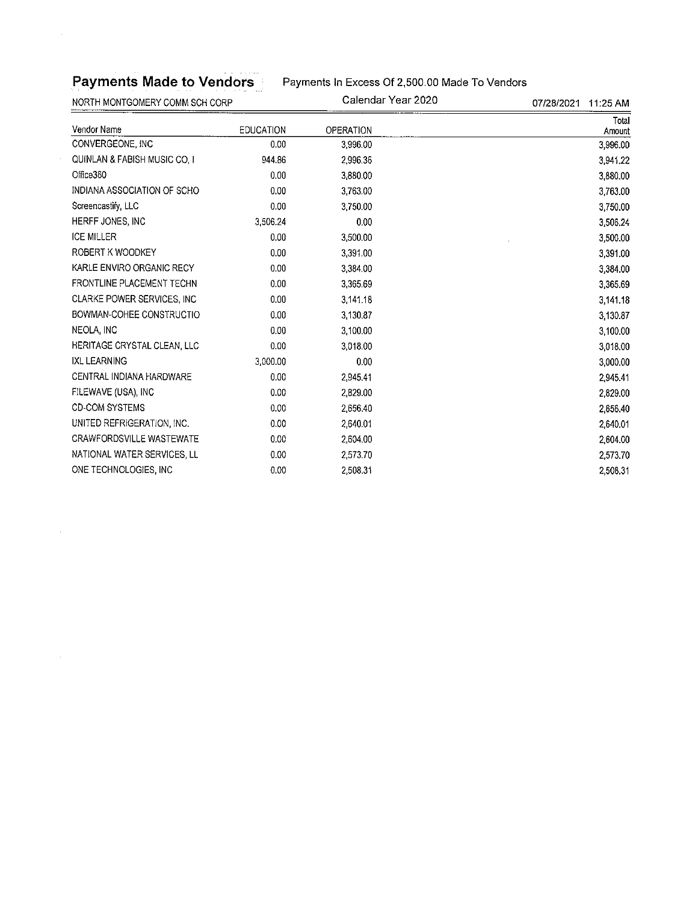# Payments Made to Vendors Payments In Excess Of 2,500.00 Made To Vendors

NORTH MONTGOMERY COMM SCH CORP CALENDARY CALENDARY PEAR 2020 07/28/2021 11:25 AM

 $\sim$ 

 $\mathcal{A}$ 

| <b>EDUCATION</b> | OPERATION | Total<br>Amount |
|------------------|-----------|-----------------|
| 0.00             | 3,996.00  | 3,996.00        |
| 944.86           | 2.996.36  | 3,941.22        |
| 0.00             | 3,880.00  | 3,880.00        |
| 0.00             | 3.763.00  | 3,763.00        |
| 0.00             | 3,750.00  | 3.750.00        |
| 3,506.24         | 0.00      | 3,506.24        |
| 0.00             | 3,500.00  | 3,500.00        |
| 0.00             | 3,391.00  | 3,391.00        |
| 0.00             | 3,384.00  | 3,384.00        |
| 0.00             | 3,365.69  | 3,365.69        |
| 0.00             | 3,141.18  | 3,141.18        |
| 0.00             | 3,130.87  | 3,130.87        |
| 0.00             | 3,100.00  | 3,100.00        |
| 0.00             | 3.018.00  | 3.018.00        |
| 3,000.00         | 0.00      | 3,000.00        |
| 0.00             | 2,945.41  | 2 945.41        |
| 0.00             | 2,829.00  | 2,829.00        |
| 0.00             | 2,656.40  | 2,656.40        |
| 0.00             | 2,640.01  | 2,640.01        |
| 0.00             | 2,604.00  | 2,604.00        |
| 0.00             | 2,573.70  | 2,573.70        |
| 0.00             | 2,508.31  | 2.508.31        |
|                  |           |                 |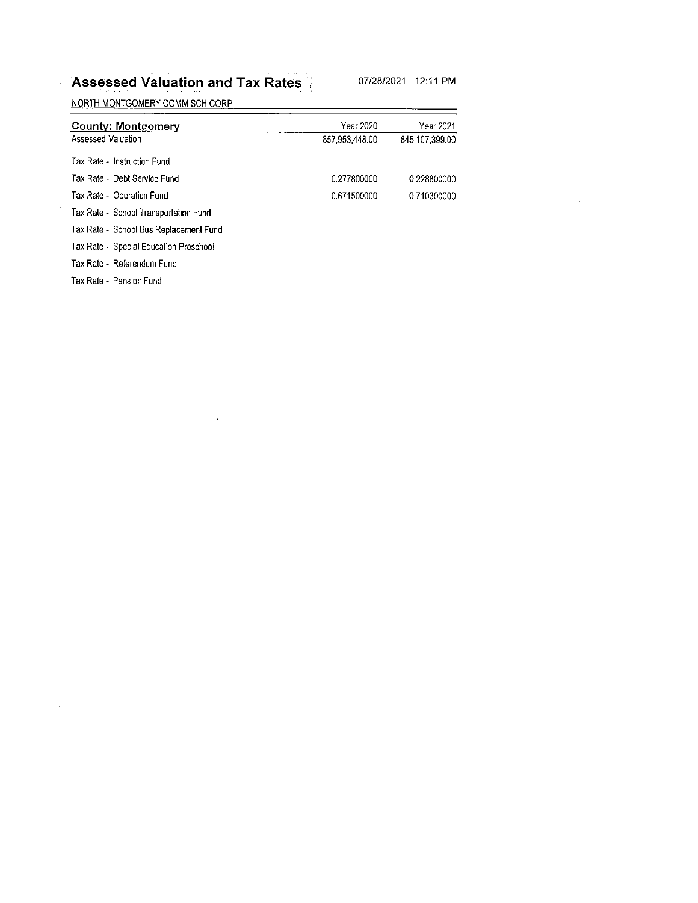## Assessed Valuation and Tax Rates 07/28/2021 12:11 PM

 $\sim$ 

NORTH MONTGOMERY COMM SCH CORP

 $\sim$ 

| County: Montgomery                     | Year 2020      | Year 2021      |
|----------------------------------------|----------------|----------------|
| Assessed Valuation                     | 857,953,448.00 | 845.107.399.00 |
| Tax Rate - Instruction Fund            |                |                |
| Tax Rate - Debt Service Fund           | 0.277800000    | 0.228800000    |
| Tax Rate - Operation Fund              | 0.671500000    | 0.710300000    |
| Tax Rate - School Transportation Fund  |                |                |
| Tax Rate - School Bus Replacement Fund |                |                |
| Tax Rate - Special Education Preschool |                |                |
| Tax Rate - Referendum Fund             |                |                |
| Tax Rate - Pension Fund                |                |                |

 $\label{eq:2.1} \mathcal{L}(\mathcal{L}(\mathcal{L})) = \mathcal{L}(\mathcal{L}(\mathcal{L})) = \mathcal{L}(\mathcal{L}(\mathcal{L})) = \mathcal{L}(\mathcal{L}(\mathcal{L}))$  $\mathcal{L}^{\text{max}}_{\text{max}}$  ,  $\mathcal{L}^{\text{max}}_{\text{max}}$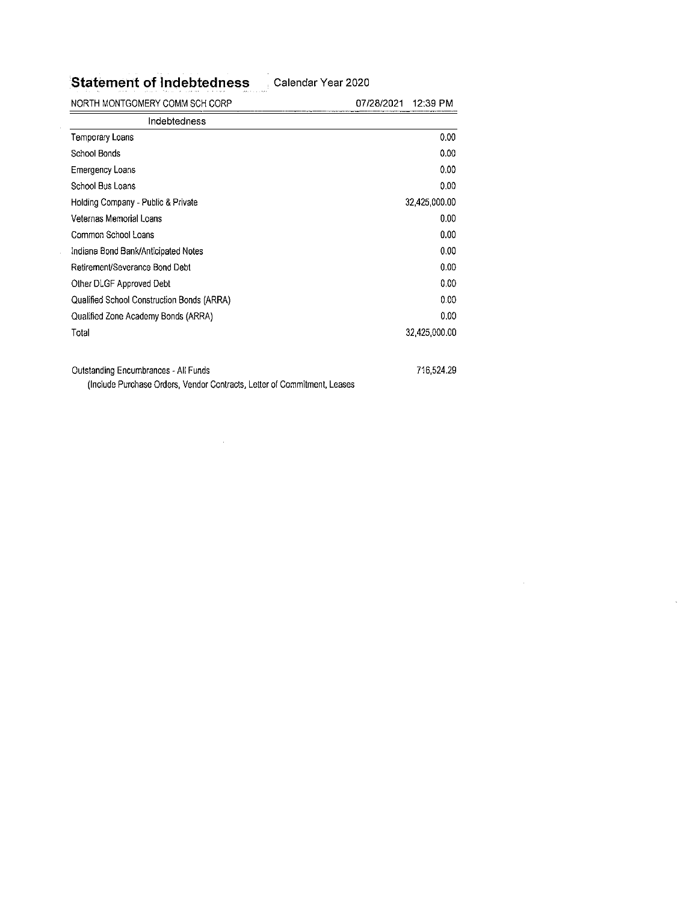Statement of Indebtedness Calendar Year 2020

 $\ddot{\phantom{a}}$ 

| NORTH MONTGOMERY COMM SCH CORP              | 07/28/2021<br>12:39 PM |
|---------------------------------------------|------------------------|
| Indebtedness                                |                        |
| Temporary Loans                             | 0.00 <sub>1</sub>      |
| School Bonds                                | 0.00                   |
| Emergency Loans                             | 0.00                   |
| School Bus Loans                            | 0.00 <sub>1</sub>      |
| Holding Company - Public & Private          | 32,425,000.00          |
| Veternas Memorial Loans                     | $0.00\,$               |
| Common School Loans                         | 0.00                   |
| Indiana Bond Bank/Anticipated Notes         | 0.00                   |
| Retirement/Severance Bond Debt              | 0.00 <sub>1</sub>      |
| Other DLGF Approved Debt                    | 0.00                   |
| Qualified School Construction Bonds (ARRA)  | 0.00                   |
| Qualified Zone Academy Bonds (ARRA)         | 0.00                   |
| Total                                       | 32,425,000.00          |
| <b>Outstanding Encumbrances - All Funds</b> | 716,524.29             |

(Include Purchase Orders, Vendor Ccntracts, Letter of Commitment, Leases

 $\bar{z}$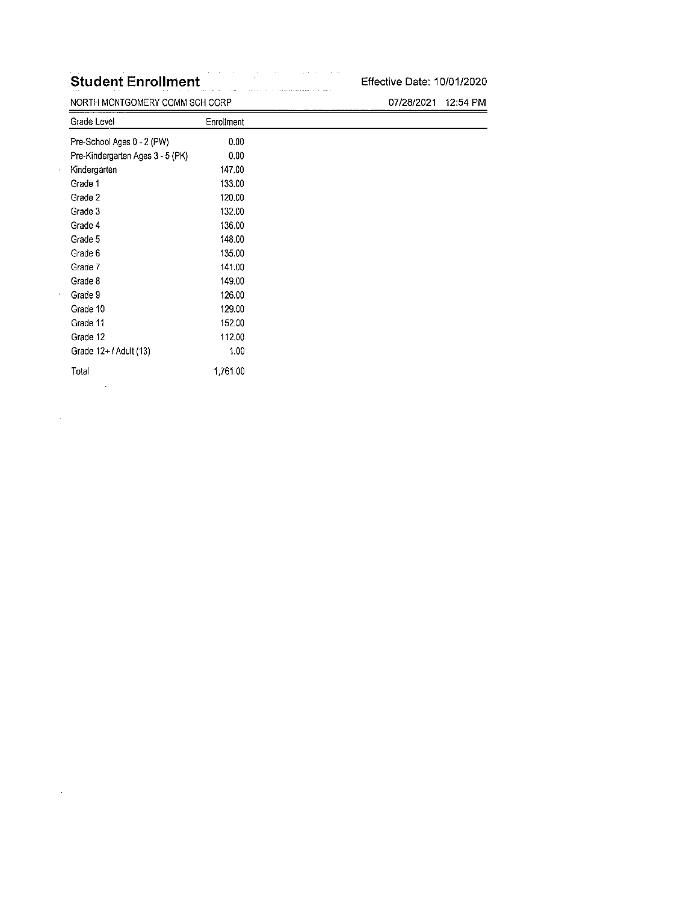### Student Enrollment Effective Date: 10/01/2020

NORTH MONTGOMERY COMM SCH CORP 07/28/2021 12:54 PM Grade Level **Enrollment** Pre-School Ages 0 - 2 (PW) 0.00 Pre-Kindergarten Ages 3 - 5 (PK) 0.00 Kindergarten 147.00 Grade 1 133.00 Grade 2 120.00 Grade 3 **132.00** Grade 4 136.00 Grade 5 148.00 Grade 6 135.00 Grade 7 141.00 Grade 8 149.00 Grade 9 **126.00** Grade 10 129.00 Grade 11 152.00 Grade 12 112.00 Grade 12+/Adult (13) 1.00 Total 1761.00 $\ddot{\phantom{a}}$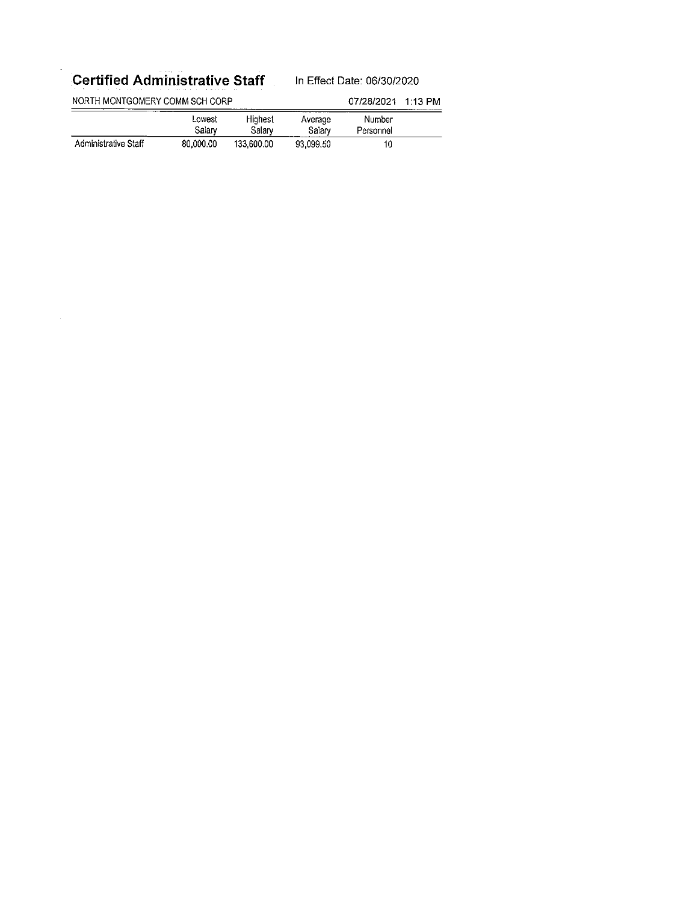# Certified Administrative Staff In Effect Date: 06/30/2020

J.

| NORTH MONTGOMERY COMM SCH CORP<br>____________ |                  |                   | 07/28/2021        | 1.13 PM             |  |
|------------------------------------------------|------------------|-------------------|-------------------|---------------------|--|
|                                                | Lowest<br>Salarv | Highest<br>Salary | Average<br>Salary | Number<br>Personnel |  |
| Administrative Staff                           | 80.000.00        | 133,600.00        | 93.099.50         | 10                  |  |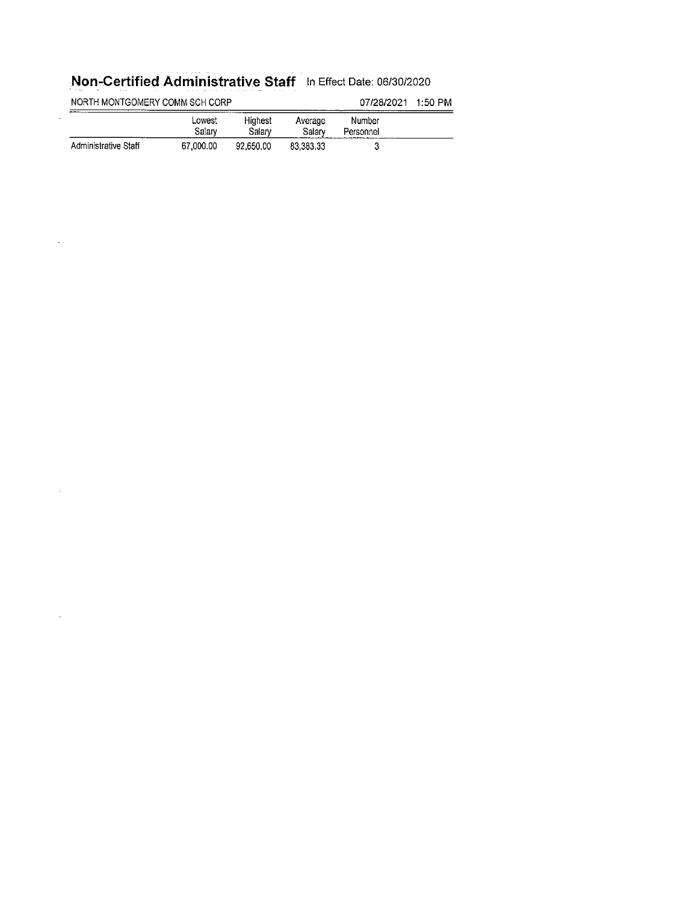# Non-Certified Administrative Staff In Effect Date: 06/30/2020

 $\hat{\pi}$ 

 $\sim$ 

 $\sim$ 

| NORTH MONTGOMERY COMM SCH CORP |                  |                   |                   | 07/28/2021          | 1:50 PM |
|--------------------------------|------------------|-------------------|-------------------|---------------------|---------|
| .                              | Lowest<br>Salarv | Hiahest<br>Salarv | Average<br>Salarv | Number<br>Personnel |         |
| Administrative Staff           | 67,000.00        | 92,650.00         | 83.383.33         |                     |         |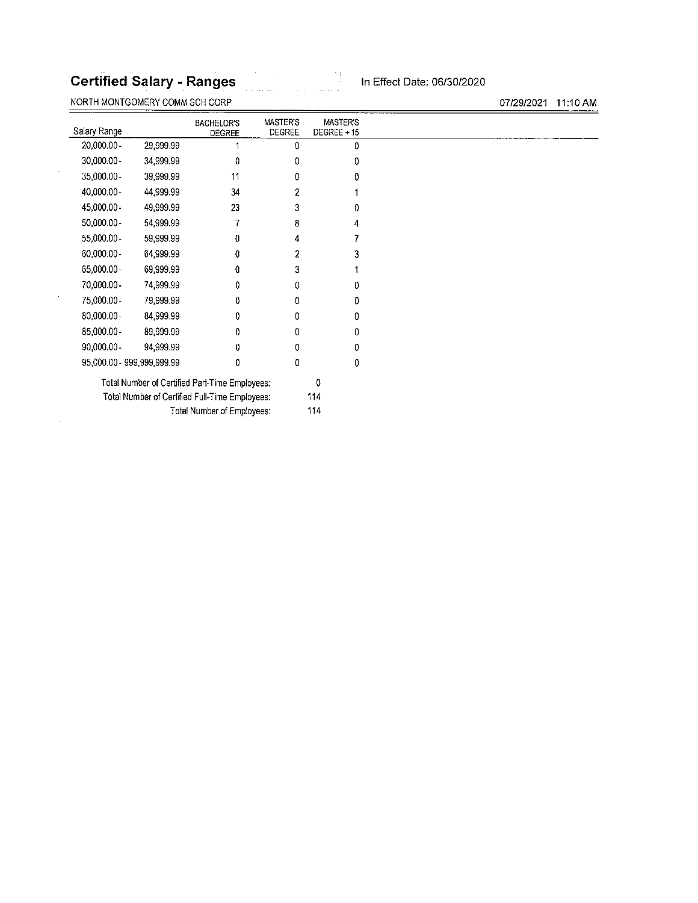### Certified Salary - Ranges In Effect Date: 06/30/2020

NORTH MONTGOMERY COMM SCH CORP 07/29/2021 11:10 AM

BACHELOR'S MASTER'S MASTER'S<br>DEGREE DEGREE DEGREE +15 Salary Range 20,000.00 - 29,999.99 1 0 0 0 30,000.00- 34,999.99 0 0 0 35,000.00- 39,999.99 <sup>11</sup> 0 0 40,000.00- 44,999.99 34 2 <sup>1</sup> 45,000.00- 49,999.99 23 3 0 50,000.00- 54,999.99 7 8 4 55,000.00- 59,999.99 0 4 7 60,000.00- 64,999.99 0 2 3 65,000.00- 69,999.99 0 3 <sup>1</sup> 70,000.00- 74,999.99 0 0 0 75,000.00- 79,999.99 0 0 0 60,000.00- 84,999.99 0 0 0 85,000.00- 89,999.99 0 0 0 90,000.00- 94,999.99 0 0 0 95,000.00- 999,999,999.99 0 0 0 Total Number of Certified Part-Time Employees: 0 Total Number of Certified Full-Time Employees: 114 Total Number of Employees: 114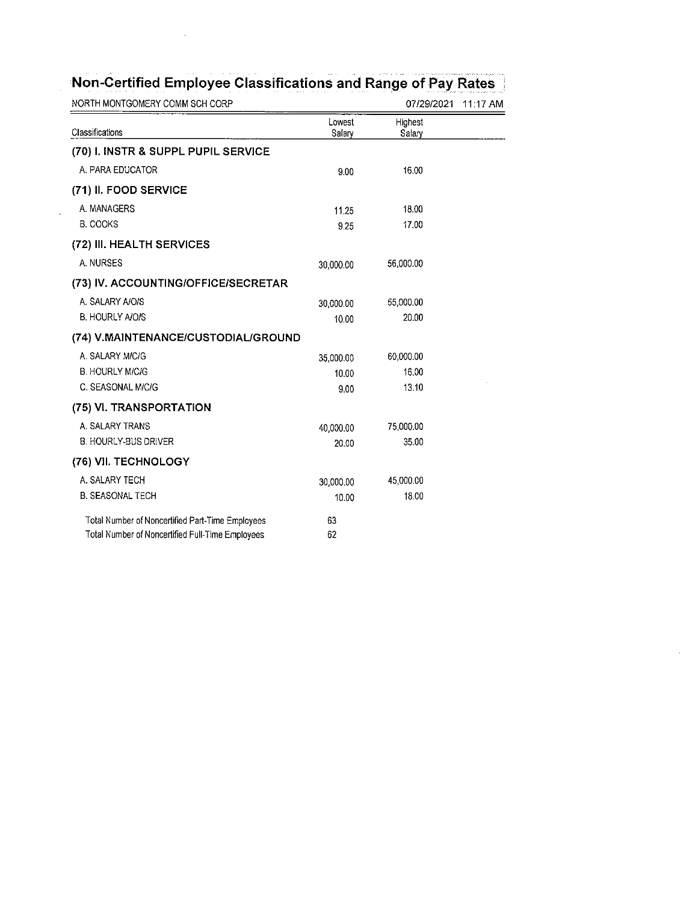| NORTH MONTGOMERY COMM SCH CORP                   |                  | 07/29/2021        | $11:17$ AM |
|--------------------------------------------------|------------------|-------------------|------------|
| Classifications                                  | Lowest<br>Salary | Highest<br>Salary |            |
| (70) I. INSTR & SUPPL PUPIL SERVICE              |                  |                   |            |
| A. PARA EDUCATOR                                 | 9.00             | 16.00             |            |
| (71) II. FOOD SERVICE                            |                  |                   |            |
| A. MANAGERS                                      | 11.25            | 18.00             |            |
| <b>B. COOKS</b>                                  | 9.25             | 17.00             |            |
| (72) III. HEALTH SERVICES                        |                  |                   |            |
| A. NURSES                                        | 30 000.00        | 56,000.00         |            |
| (73) IV. ACCOUNTING/OFFICE/SECRETAR              |                  |                   |            |
| A. SALARY A/O/S                                  | 30.000.00        | 55,000.00         |            |
| <b>B. HOURLY A/O/S</b>                           | 10.00            | 20.00             |            |
| (74) V.MAINTENANCE/CUSTODIAL/GROUND              |                  |                   |            |
| A. SALARY MICIG                                  | 35,000.00        | 60,000.00         |            |
| <b>B. HOURLY M/C/G</b>                           | 10.00            | 16.00             |            |
| C. SEASONAL M/C/G                                | 9.00             | 13.10             |            |
| (75) VI. TRANSPORTATION                          |                  |                   |            |
| A. SALARY TRANS                                  | 40,000.00        | 75,000.00         |            |
| B. HOURLY-BUS DRIVER                             | 20.00            | 35.00             |            |
| (76) VII. TECHNOLOGY                             |                  |                   |            |
| A. SALARY TECH                                   | 30,000.00        | 45,000.00         |            |
| <b>B. SEASONAL TECH</b>                          | 10.00            | 18.00             |            |
| Total Number of Noncertified Part-Time Employees | 63               |                   |            |
| Total Number of Noncertified Full-Time Employees | 62               |                   |            |

 $\ddot{\phantom{a}}$ 

# Non-Certified Employee Classifications and Range of Pay Rates

 $\bar{\beta}$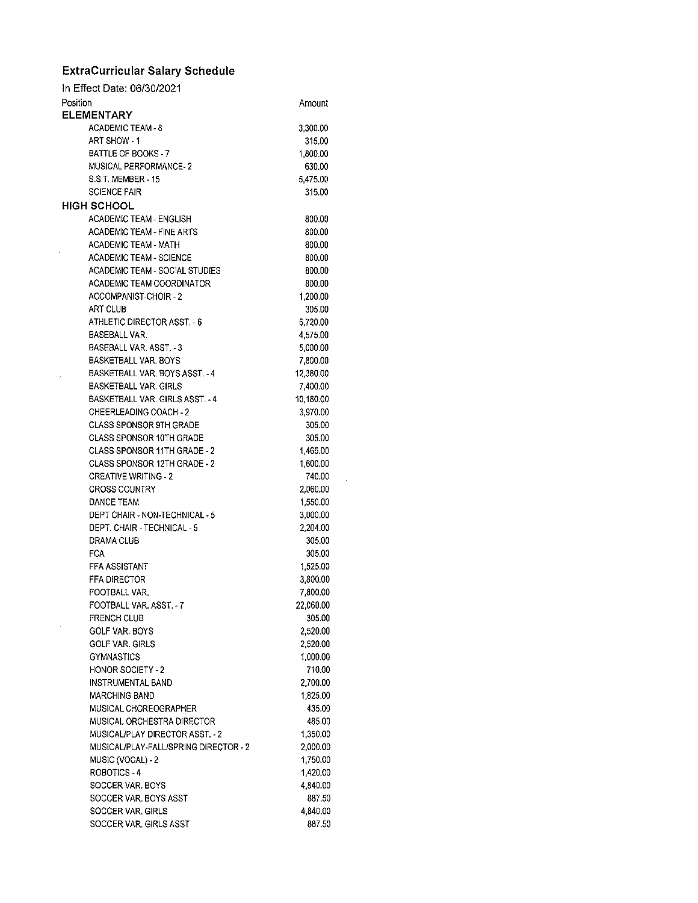#### ExtraCurricular Salary Schedule

 $\hat{\boldsymbol{\theta}}$ 

| In Effect Date: 06/30/2021            |           |
|---------------------------------------|-----------|
| Position                              | Amount    |
| <b>ELEMENTARY</b>                     |           |
| ACADEMIC TEAM - 8                     | 3,300.00  |
| ART SHOW 1                            | 315.00    |
| BATTLE OF BOOKS - 7                   | 1,800.00  |
| MUSICAL PERFORMANCE-2                 | 630.00    |
| S.S.T. MEMBER - 15                    | 5,475.00  |
| <b>SCIENCE FAIR</b>                   | 315.00    |
| <b>HIGH SCHOOL</b>                    |           |
| ACADEMIC TEAM - ENGLISH               | 800.00    |
| <b>ACADEMIC TEAM - FINE ARTS</b>      | 800.00    |
| <b>ACADEMIC TEAM - MATH</b>           | 800.00    |
| <b>ACADEMIC TEAM - SCIENCE</b>        | 800.00    |
| ACADEMIC TEAM - SOCIAL STUDIES        | 800.00    |
| ACADEMIC TEAM COORDINATOR             | 800.00    |
| ACCOMPANIST-CHOIR - 2                 | 1,200.00  |
| ART CLUB                              | 305.00    |
| ATHLETIC DIRECTOR ASST. - 6           | 6.720.00  |
| <b>BASEBALL VAR.</b>                  | 4,575.00  |
| BASEBALL VAR. ASST. 3                 | 5,000.00  |
| <b>BASKETBALL VAR, BOYS</b>           | 7,800.00  |
| BASKETBALL VAR, BOYS ASST, - 4        | 12,380.00 |
| <b>BASKETBALL VAR, GIRLS</b>          | 7,400.00  |
| BASKETBALL VAR. GIRLS ASST. - 4       | 10,180.00 |
| <b>CHEERLEADING COACH - 2</b>         | 3,970.00  |
| <b>CLASS SPONSOR 9TH GRADE</b>        | 305.00    |
| CLASS SPONSOR 10TH GRADE              | 305.00    |
| CLASS SPONSOR 11TH GRADE - 2          | 1,465.00  |
| <b>CLASS SPONSOR 12TH GRADE - 2</b>   | 1,600.00  |
| <b>CREATIVE WRITING - 2</b>           | 740.00    |
| <b>CROSS COUNTRY</b>                  | 2,060.00  |
| DANCE TEAM                            | 1,550.00  |
| DEPT CHAIR - NON-TECHNICAL - 5        | 3,000.00  |
| DEPT. CHAIR - TECHNICAL - 5           | 2,204.00  |
| DRAMA CLUB                            | 305.00    |
| <b>FCA</b>                            | 305.00    |
| <b>FFA ASSISTANT</b>                  | 1,525.00  |
| <b>FFA DIRECTOR</b>                   | 3,800.00  |
| FOOTBALL VAR.                         | 7,800.00  |
| FOOTBALL VAR. ASST. - 7               | 22,060.00 |
| <b>FRENCH CLUB</b>                    | 305.00    |
| GOLF VAR. BOYS                        | 2,520.00  |
| <b>GOLF VAR, GIRLS</b>                | 2,520.00  |
| <b>GYMNASTICS</b>                     | 1,000.00  |
| <b>HONOR SOCIETY - 2</b>              | 710.00    |
| INSTRUMENTAL BAND                     | 2,700.00  |
| <b>MARCHING BAND</b>                  | 1,825.00  |
| MUSICAL CHOREOGRAPHER                 | 435.00    |
| MUSICAL ORCHESTRA DIRECTOR            | 485.00    |
| MUSICAL/PLAY DIRECTOR ASST. - 2       | 1,350.00  |
| MUSICAL/PLAY-FALL/SPRING DIRECTOR - 2 | 2,000.00  |
| MUSIC (VOCAL) - 2                     | 1,750.00  |
| ROBOTICS - 4                          | 1,420.00  |
| SOCCER VAR. BOYS                      | 4,840.00  |
| SOCCER VAR. BOYS ASST                 | 887.50    |
| SOCCER VAR, GIRLS                     | 4,840.00  |
| SOCCER VAR. GIRLS ASST                | 887.50    |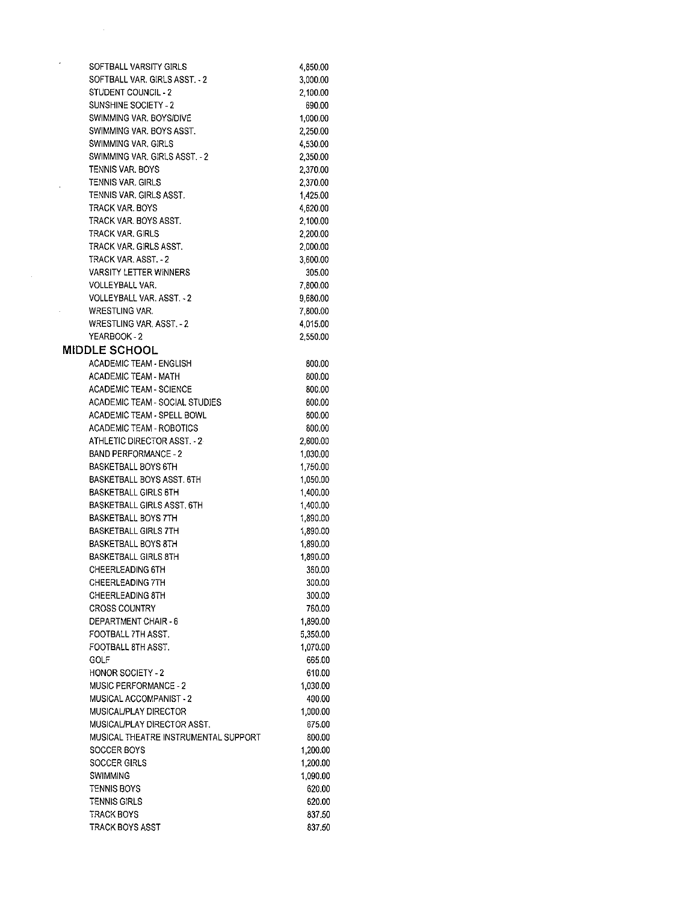| SOFTBALL VARSITY GIRLS               | 4,850.00 |
|--------------------------------------|----------|
| SOFTBALL VAR. GIRLS ASST. - 2        | 3,000.00 |
| STUDENT COUNCIL 2                    | 2,100.00 |
| SUNSHINE SOCIETY - 2                 | 690.00   |
| SWIMMING VAR, BOYS/DIVE              | 1,000.00 |
| SWIMMING VAR. BOYS ASST.             | 2,250.00 |
| <b>SWIMMING VAR. GIRLS</b>           | 4,530.00 |
| SWIMMING VAR, GIRLS ASST. - 2        | 2,350.00 |
| TENNIS VAR. BOYS                     | 2,370.00 |
| TENNIS VAR. GIRLS                    | 2,370.00 |
| TENNIS VAR. GIRLS ASST.              | 1,425.00 |
| TRACK VAR, BOYS                      | 4,620.00 |
| TRACK VAR. BOYS ASST.                | 2,100.00 |
| TRACK VAR, GIRLS                     | 2,200.00 |
| TRACK VAR. GIRLS ASST.               | 2,000.00 |
| TRACK VAR. ASST. - 2                 | 3,600.00 |
| VARSITY LETTER WINNERS               | 305.00   |
| VOLLEYBALL VAR.                      | 7,800.00 |
| VOLLEYBALL VAR. ASST. 2              | 9,680.00 |
| <b>WRESTLING VAR.</b>                | 7,800.00 |
| WRESTLING VAR. ASST. - 2             | 4,015.00 |
| YEARBOOK - 2                         | 2,550.00 |
| <b>MIDDLE SCHOOL</b>                 |          |
| <b>ACADEMIC TEAM - ENGLISH</b>       | 800.00   |
| <b>ACADEMIC TEAM - MATH</b>          | 800.00   |
| <b>ACADEMIC TEAM - SCIENCE</b>       | 800.00   |
| ACADEMIC TEAM - SOCIAL STUDIES       | 800.00   |
| ACADEMIC TEAM - SPELL BOWL           | 800.00   |
| ACADEMIC TEAM - ROBOTICS             | 800.00   |
| ATHLETIC DIRECTOR ASST. 2            | 2,600.00 |
| <b>BAND PERFORMANCE - 2</b>          | 1,030.00 |
| BASKETBALL BOYS 6TH                  | 1,750.00 |
| BASKETBALL BOYS ASST. 6TH            | 1,050.00 |
| <b>BASKETBALL GIRLS 6TH</b>          | 1,400.00 |
| <b>BASKETBALL GIRLS ASST. 6TH</b>    | 1,400.00 |
| <b>BASKETBALL BOYS 7TH</b>           | 1,890.00 |
| <b>BASKETBALL GIRLS 7TH</b>          | 1,890.00 |
| BASKETBALL BOYS 8TH                  | 1,890.00 |
| <b>BASKETBALL GIRLS 8TH</b>          | 1,890.00 |
| <b>CHEERLEADING 6TH</b>              | 360.00   |
| <b>CHEERLEADING 7TH</b>              | 300.00   |
| <b>CHEERLEADING 8TH</b>              | 300.00   |
| <b>CROSS COUNTRY</b>                 | 760.00   |
| DEPARTMENT CHAIR - 6                 | 1,890.00 |
| FOOTBALL 7TH ASST.                   | 5,350.00 |
| FOOTBALL 8TH ASST.                   | 1,070.00 |
| GOLF                                 | 665.00   |
| <b>HONOR SOCIETY - 2</b>             | 610.00   |
| <b>MUSIC PERFORMANCE - 2</b>         | 1.030.00 |
| MUSICAL ACCOMPANIST - 2              | 400.00   |
| MUSICAL/PLAY DIRECTOR                | 1,000.00 |
| MUSICAL/PLAY DIRECTOR ASST.          | 675.00   |
| MUSICAL THEATRE INSTRUMENTAL SUPPORT | 800.00   |
| SOCCER BOYS                          | 1,200.00 |
| SOCCER GIRLS                         | 1,200.00 |
| SWIMMING                             | 1,090.00 |
| TENNIS BOYS                          | 620.00   |
| <b>TENNIS GIRLS</b>                  | 620.00   |
| <b>TRACK BOYS</b>                    | 837.50   |
| TRACK BOYS ASST                      | 837.50   |
|                                      |          |

 $\mathcal{L}_{\mathcal{A}}$ 

 $\mathcal{A}^{(1)}$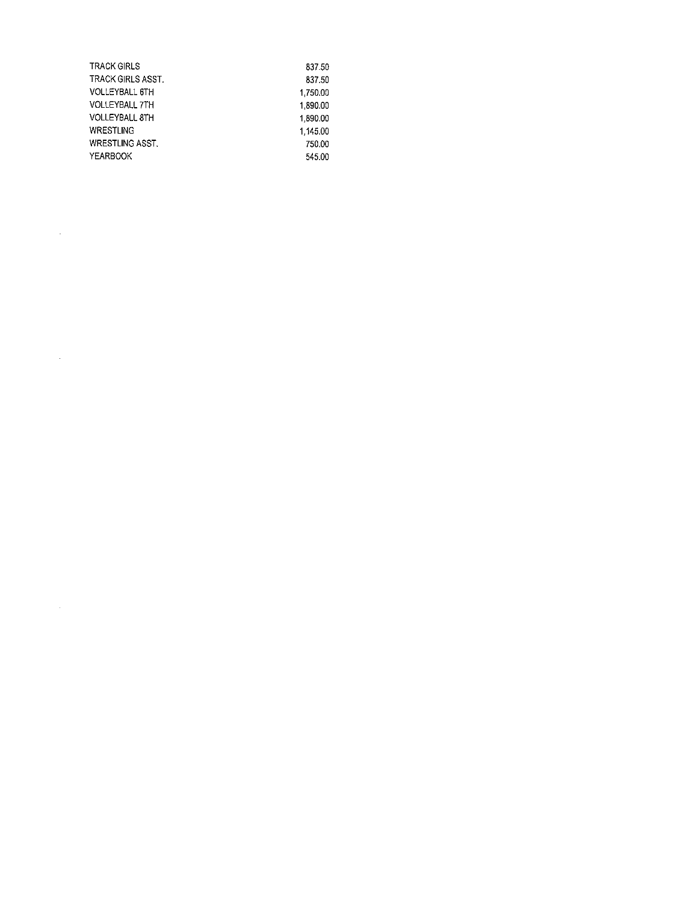| TRACK GIRLS           | 837.50   |
|-----------------------|----------|
| TRACK GIRLS ASST      | 837.50   |
| VOLLEYBALL 6TH        | 1.750.00 |
| <b>VOLLEYBALL 7TH</b> | 1.890.00 |
| VOLLEYBALL 8TH        | 1,890.00 |
| WRESTLING             | 1.145.00 |
| WRESTLING ASST.       | 750.00   |
| YEARBOOK              | 545.00   |
|                       |          |

 $\label{eq:2.1} \frac{1}{\sqrt{2}}\sum_{i=1}^n\frac{1}{\sqrt{2}}\sum_{i=1}^n\frac{1}{\sqrt{2}}\sum_{i=1}^n\frac{1}{\sqrt{2}}\sum_{i=1}^n\frac{1}{\sqrt{2}}\sum_{i=1}^n\frac{1}{\sqrt{2}}\sum_{i=1}^n\frac{1}{\sqrt{2}}\sum_{i=1}^n\frac{1}{\sqrt{2}}\sum_{i=1}^n\frac{1}{\sqrt{2}}\sum_{i=1}^n\frac{1}{\sqrt{2}}\sum_{i=1}^n\frac{1}{\sqrt{2}}\sum_{i=1}^n\frac$